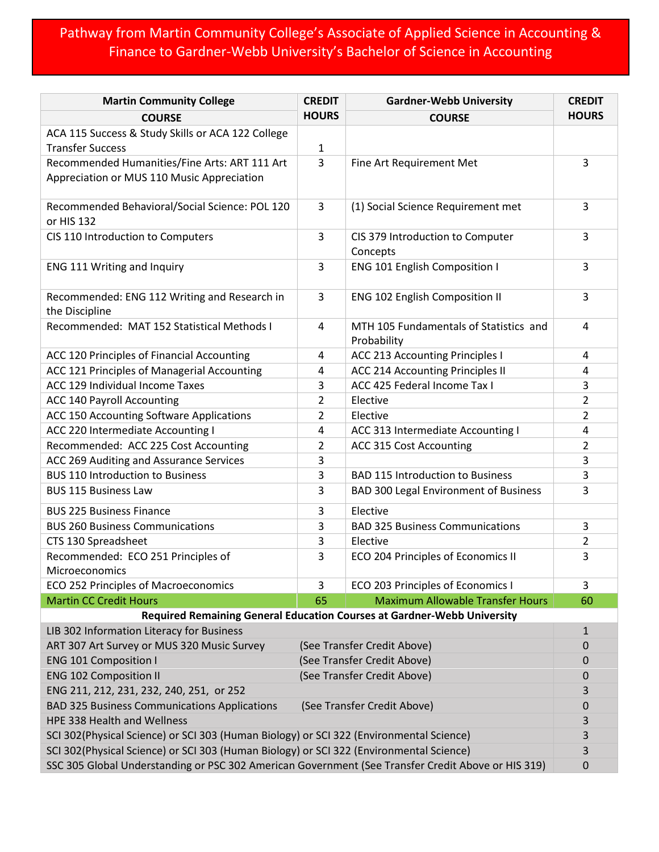## Pathway from Martin Community College's Associate of Applied Science in Accounting & Finance to Gardner-Webb University's Bachelor of Science in Accounting

| <b>Martin Community College</b>                                                                    | <b>CREDIT</b><br><b>Gardner-Webb University</b> |                                                                         | <b>CREDIT</b>  |  |  |
|----------------------------------------------------------------------------------------------------|-------------------------------------------------|-------------------------------------------------------------------------|----------------|--|--|
| <b>COURSE</b>                                                                                      | <b>HOURS</b>                                    | <b>COURSE</b>                                                           | <b>HOURS</b>   |  |  |
| ACA 115 Success & Study Skills or ACA 122 College<br><b>Transfer Success</b>                       | 1                                               |                                                                         |                |  |  |
| Recommended Humanities/Fine Arts: ART 111 Art<br>Appreciation or MUS 110 Music Appreciation        | 3                                               | Fine Art Requirement Met                                                | 3              |  |  |
| Recommended Behavioral/Social Science: POL 120<br>or HIS 132                                       | 3                                               | (1) Social Science Requirement met                                      | 3              |  |  |
| CIS 110 Introduction to Computers                                                                  | 3                                               | CIS 379 Introduction to Computer<br>Concepts                            | 3              |  |  |
| <b>ENG 111 Writing and Inquiry</b>                                                                 | 3                                               | <b>ENG 101 English Composition I</b>                                    | 3              |  |  |
| Recommended: ENG 112 Writing and Research in<br>the Discipline                                     | 3                                               | ENG 102 English Composition II                                          | 3              |  |  |
| Recommended: MAT 152 Statistical Methods I                                                         | 4                                               | MTH 105 Fundamentals of Statistics and<br>Probability                   | 4              |  |  |
| ACC 120 Principles of Financial Accounting                                                         | 4                                               | <b>ACC 213 Accounting Principles I</b>                                  | 4              |  |  |
| ACC 121 Principles of Managerial Accounting                                                        | 4                                               | ACC 214 Accounting Principles II                                        | 4              |  |  |
| ACC 129 Individual Income Taxes                                                                    | 3                                               | ACC 425 Federal Income Tax I                                            | 3              |  |  |
| ACC 140 Payroll Accounting                                                                         | 2                                               | Elective                                                                | $\overline{2}$ |  |  |
| ACC 150 Accounting Software Applications                                                           | 2                                               | Elective                                                                | 2              |  |  |
| ACC 220 Intermediate Accounting I                                                                  | 4                                               | ACC 313 Intermediate Accounting I                                       | 4              |  |  |
| Recommended: ACC 225 Cost Accounting                                                               | 2                                               | ACC 315 Cost Accounting                                                 | $\overline{2}$ |  |  |
| ACC 269 Auditing and Assurance Services                                                            | 3                                               |                                                                         | 3              |  |  |
| <b>BUS 110 Introduction to Business</b>                                                            | 3                                               | <b>BAD 115 Introduction to Business</b>                                 | 3              |  |  |
| <b>BUS 115 Business Law</b>                                                                        | 3                                               | BAD 300 Legal Environment of Business                                   | 3              |  |  |
| <b>BUS 225 Business Finance</b>                                                                    | 3                                               | Elective                                                                |                |  |  |
| <b>BUS 260 Business Communications</b>                                                             | 3                                               | <b>BAD 325 Business Communications</b>                                  | 3              |  |  |
| CTS 130 Spreadsheet                                                                                | 3                                               | Elective                                                                | $\overline{2}$ |  |  |
| Recommended: ECO 251 Principles of<br><b>Microeconomics</b>                                        | 3                                               | ECO 204 Principles of Economics II                                      | 3              |  |  |
| ECO 252 Principles of Macroeconomics                                                               | 3                                               | ECO 203 Principles of Economics I                                       | 3              |  |  |
| <b>Martin CC Credit Hours</b>                                                                      | 65                                              | <b>Maximum Allowable Transfer Hours</b>                                 | 60             |  |  |
|                                                                                                    |                                                 | Required Remaining General Education Courses at Gardner-Webb University |                |  |  |
| LIB 302 Information Literacy for Business                                                          |                                                 |                                                                         |                |  |  |
| ART 307 Art Survey or MUS 320 Music Survey                                                         | (See Transfer Credit Above)                     | 0                                                                       |                |  |  |
| <b>ENG 101 Composition I</b>                                                                       | (See Transfer Credit Above)                     |                                                                         | 0              |  |  |
| <b>ENG 102 Composition II</b>                                                                      | (See Transfer Credit Above)                     | 0<br>3                                                                  |                |  |  |
| ENG 211, 212, 231, 232, 240, 251, or 252                                                           |                                                 |                                                                         |                |  |  |
| <b>BAD 325 Business Communications Applications</b><br>(See Transfer Credit Above)                 |                                                 |                                                                         |                |  |  |
| HPE 338 Health and Wellness                                                                        |                                                 |                                                                         |                |  |  |
| SCI 302(Physical Science) or SCI 303 (Human Biology) or SCI 322 (Environmental Science)            |                                                 |                                                                         |                |  |  |
| SCI 302(Physical Science) or SCI 303 (Human Biology) or SCI 322 (Environmental Science)            |                                                 |                                                                         |                |  |  |
| SSC 305 Global Understanding or PSC 302 American Government (See Transfer Credit Above or HIS 319) |                                                 |                                                                         |                |  |  |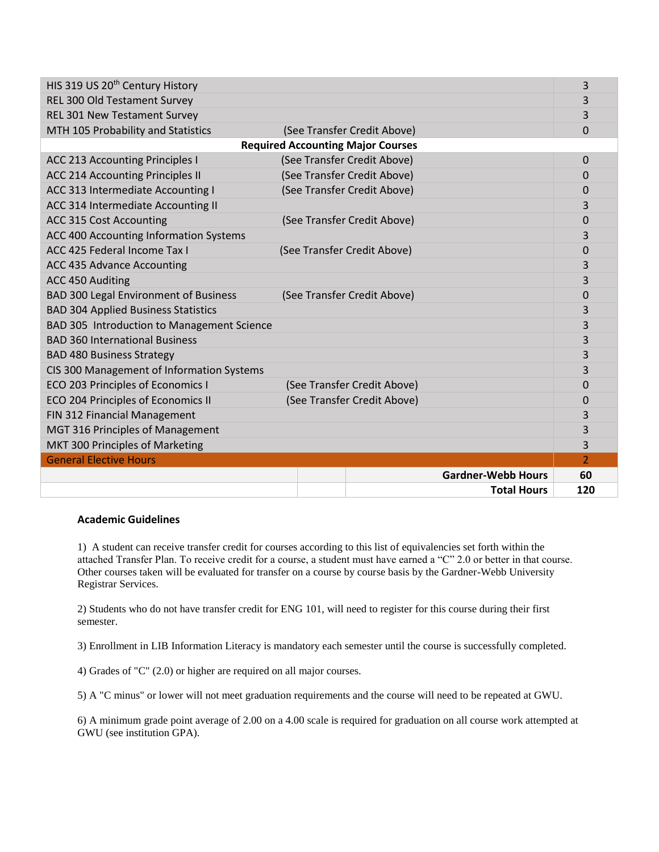| HIS 319 US 20 <sup>th</sup> Century History |  |  |                             |                           | 3              |  |  |
|---------------------------------------------|--|--|-----------------------------|---------------------------|----------------|--|--|
| REL 300 Old Testament Survey                |  |  |                             |                           | 3              |  |  |
| <b>REL 301 New Testament Survey</b>         |  |  |                             |                           | 3              |  |  |
| MTH 105 Probability and Statistics          |  |  | (See Transfer Credit Above) |                           | 0              |  |  |
| <b>Required Accounting Major Courses</b>    |  |  |                             |                           |                |  |  |
| <b>ACC 213 Accounting Principles I</b>      |  |  | (See Transfer Credit Above) |                           | 0              |  |  |
| <b>ACC 214 Accounting Principles II</b>     |  |  | (See Transfer Credit Above) |                           | 0              |  |  |
| ACC 313 Intermediate Accounting I           |  |  | (See Transfer Credit Above) |                           | 0              |  |  |
| ACC 314 Intermediate Accounting II          |  |  |                             |                           | 3              |  |  |
| <b>ACC 315 Cost Accounting</b>              |  |  | (See Transfer Credit Above) |                           | 0              |  |  |
| ACC 400 Accounting Information Systems      |  |  |                             |                           | 3              |  |  |
| ACC 425 Federal Income Tax I                |  |  | (See Transfer Credit Above) |                           | $\overline{0}$ |  |  |
| ACC 435 Advance Accounting                  |  |  |                             |                           | 3              |  |  |
| ACC 450 Auditing                            |  |  |                             |                           | 3              |  |  |
| BAD 300 Legal Environment of Business       |  |  | (See Transfer Credit Above) |                           | 0              |  |  |
| <b>BAD 304 Applied Business Statistics</b>  |  |  |                             |                           | 3              |  |  |
| BAD 305 Introduction to Management Science  |  |  |                             |                           | 3              |  |  |
| <b>BAD 360 International Business</b>       |  |  |                             |                           | 3              |  |  |
| <b>BAD 480 Business Strategy</b>            |  |  |                             |                           | 3              |  |  |
| CIS 300 Management of Information Systems   |  |  |                             |                           | 3              |  |  |
| ECO 203 Principles of Economics I           |  |  | (See Transfer Credit Above) |                           | 0              |  |  |
| ECO 204 Principles of Economics II          |  |  | (See Transfer Credit Above) |                           | 0              |  |  |
| FIN 312 Financial Management                |  |  |                             |                           | 3              |  |  |
| MGT 316 Principles of Management            |  |  |                             |                           | 3              |  |  |
| MKT 300 Principles of Marketing             |  |  |                             |                           | 3              |  |  |
| <b>General Elective Hours</b>               |  |  |                             |                           | $\overline{2}$ |  |  |
|                                             |  |  |                             | <b>Gardner-Webb Hours</b> | 60             |  |  |
|                                             |  |  |                             | <b>Total Hours</b>        | 120            |  |  |

## **Academic Guidelines**

1) A student can receive transfer credit for courses according to this list of equivalencies set forth within the attached Transfer Plan. To receive credit for a course, a student must have earned a "C" 2.0 or better in that course. Other courses taken will be evaluated for transfer on a course by course basis by the Gardner-Webb University Registrar Services.

2) Students who do not have transfer credit for ENG 101, will need to register for this course during their first semester.

3) Enrollment in LIB Information Literacy is mandatory each semester until the course is successfully completed.

4) Grades of "C" (2.0) or higher are required on all major courses.

5) A "C minus" or lower will not meet graduation requirements and the course will need to be repeated at GWU.

6) A minimum grade point average of 2.00 on a 4.00 scale is required for graduation on all course work attempted at GWU (see institution GPA).